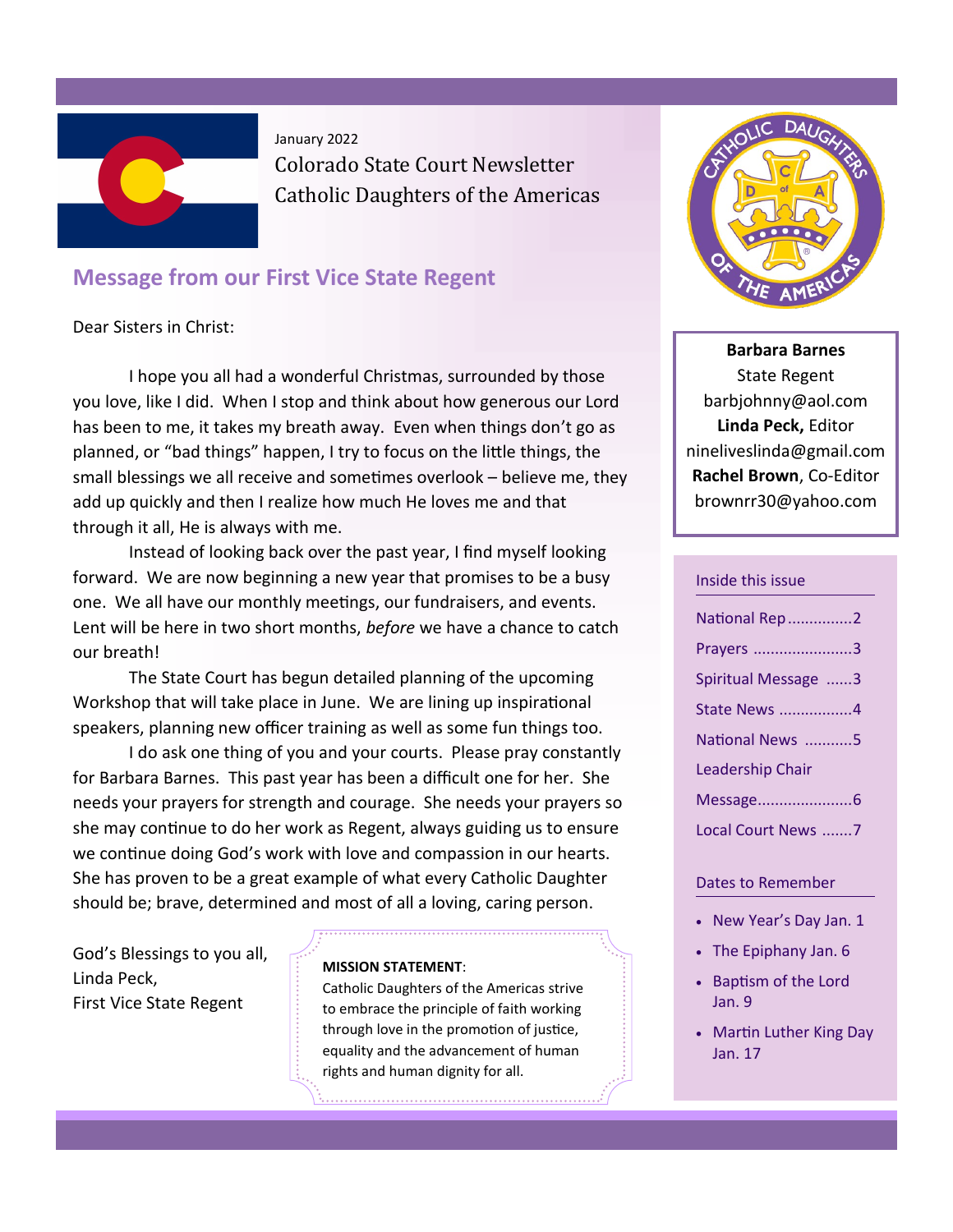

## **Message from our First Vice State Regent**

Dear Sisters in Christ:

I hope you all had a wonderful Christmas, surrounded by those you love, like I did. When I stop and think about how generous our Lord has been to me, it takes my breath away. Even when things don't go as planned, or "bad things" happen, I try to focus on the little things, the small blessings we all receive and sometimes overlook – believe me, they add up quickly and then I realize how much He loves me and that through it all, He is always with me.

Instead of looking back over the past year, I find myself looking forward. We are now beginning a new year that promises to be a busy one. We all have our monthly meetings, our fundraisers, and events. Lent will be here in two short months, *before* we have a chance to catch our breath!

The State Court has begun detailed planning of the upcoming Workshop that will take place in June. We are lining up inspirational speakers, planning new officer training as well as some fun things too.

I do ask one thing of you and your courts. Please pray constantly for Barbara Barnes. This past year has been a difficult one for her. She needs your prayers for strength and courage. She needs your prayers so she may continue to do her work as Regent, always guiding us to ensure we continue doing God's work with love and compassion in our hearts. She has proven to be a great example of what every Catholic Daughter should be; brave, determined and most of all a loving, caring person.

God's Blessings to you all, Linda Peck, First Vice State Regent

#### **MISSION STATEMENT**:

Catholic Daughters of the Americas strive to embrace the principle of faith working through love in the promotion of justice, equality and the advancement of human rights and human dignity for all.



**Barbara Barnes** State Regent barbjohnny@aol.com **Linda Peck,** Editor nineliveslinda@gmail.com **Rachel Brown**, Co-Editor brownrr30@yahoo.com

#### Inside this issue

| National Rep 2          |
|-------------------------|
| Prayers 3               |
| Spiritual Message 3     |
| State News 4            |
| National News 5         |
| <b>Leadership Chair</b> |
| Message6                |
| Local Court News 7      |

#### Dates to Remember

- New Year's Day Jan. 1
- The Epiphany Jan. 6
- Baptism of the Lord Jan. 9
- Martin Luther King Day Jan. 17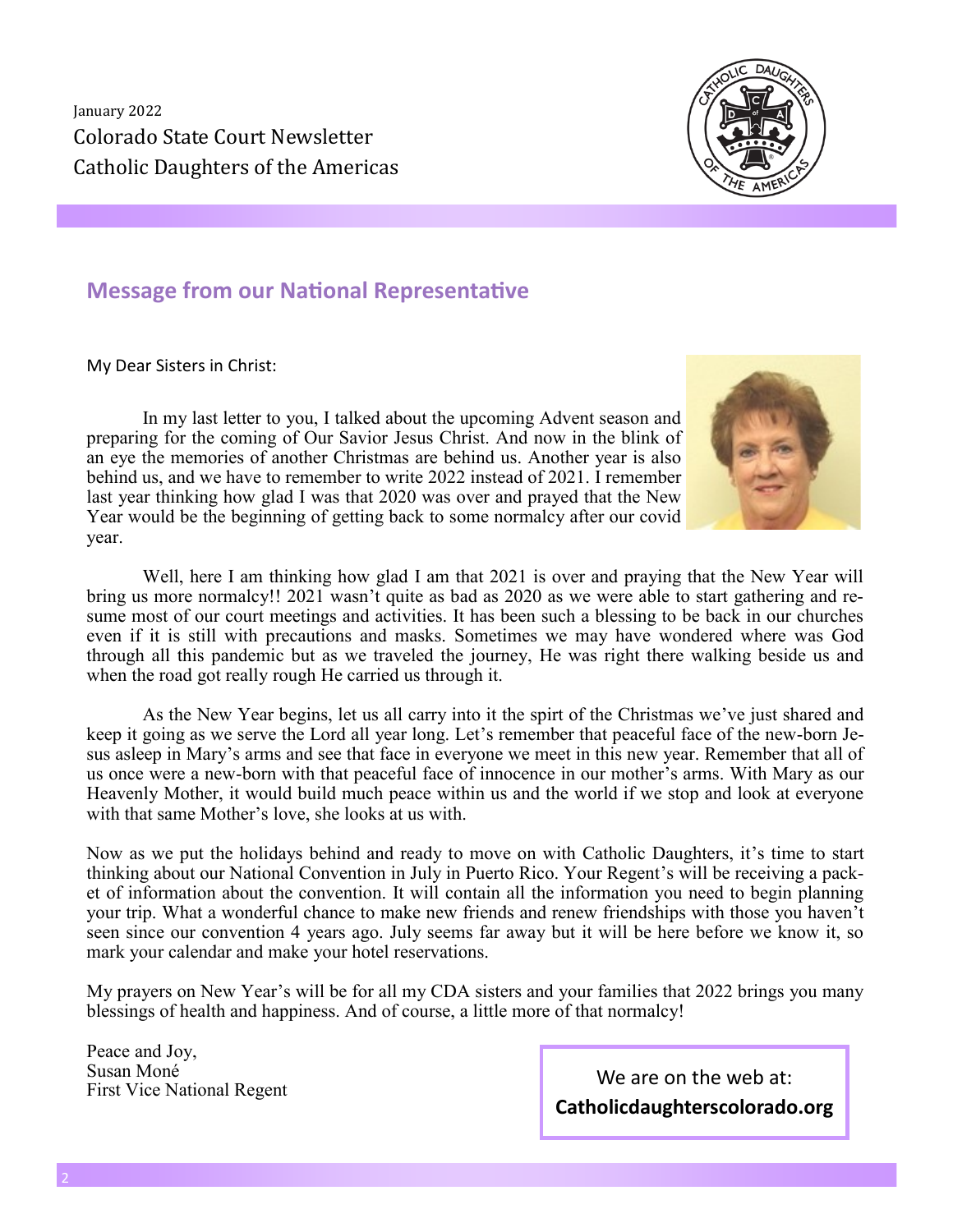

## **Message from our National Representative**

My Dear Sisters in Christ:

In my last letter to you, I talked about the upcoming Advent season and preparing for the coming of Our Savior Jesus Christ. And now in the blink of an eye the memories of another Christmas are behind us. Another year is also behind us, and we have to remember to write 2022 instead of 2021. I remember last year thinking how glad I was that 2020 was over and prayed that the New Year would be the beginning of getting back to some normalcy after our covid year.



Well, here I am thinking how glad I am that 2021 is over and praying that the New Year will bring us more normalcy!! 2021 wasn't quite as bad as 2020 as we were able to start gathering and resume most of our court meetings and activities. It has been such a blessing to be back in our churches even if it is still with precautions and masks. Sometimes we may have wondered where was God through all this pandemic but as we traveled the journey, He was right there walking beside us and when the road got really rough He carried us through it.

As the New Year begins, let us all carry into it the spirt of the Christmas we've just shared and keep it going as we serve the Lord all year long. Let's remember that peaceful face of the new-born Jesus asleep in Mary's arms and see that face in everyone we meet in this new year. Remember that all of us once were a new-born with that peaceful face of innocence in our mother's arms. With Mary as our Heavenly Mother, it would build much peace within us and the world if we stop and look at everyone with that same Mother's love, she looks at us with.

Now as we put the holidays behind and ready to move on with Catholic Daughters, it's time to start thinking about our National Convention in July in Puerto Rico. Your Regent's will be receiving a packet of information about the convention. It will contain all the information you need to begin planning your trip. What a wonderful chance to make new friends and renew friendships with those you haven't seen since our convention 4 years ago. July seems far away but it will be here before we know it, so mark your calendar and make your hotel reservations.

My prayers on New Year's will be for all my CDA sisters and your families that 2022 brings you many blessings of health and happiness. And of course, a little more of that normalcy!

Peace and Joy, Susan Moné

Susan Mone<br>First Vice National Regent We are on the web at: **Catholicdaughterscolorado.org**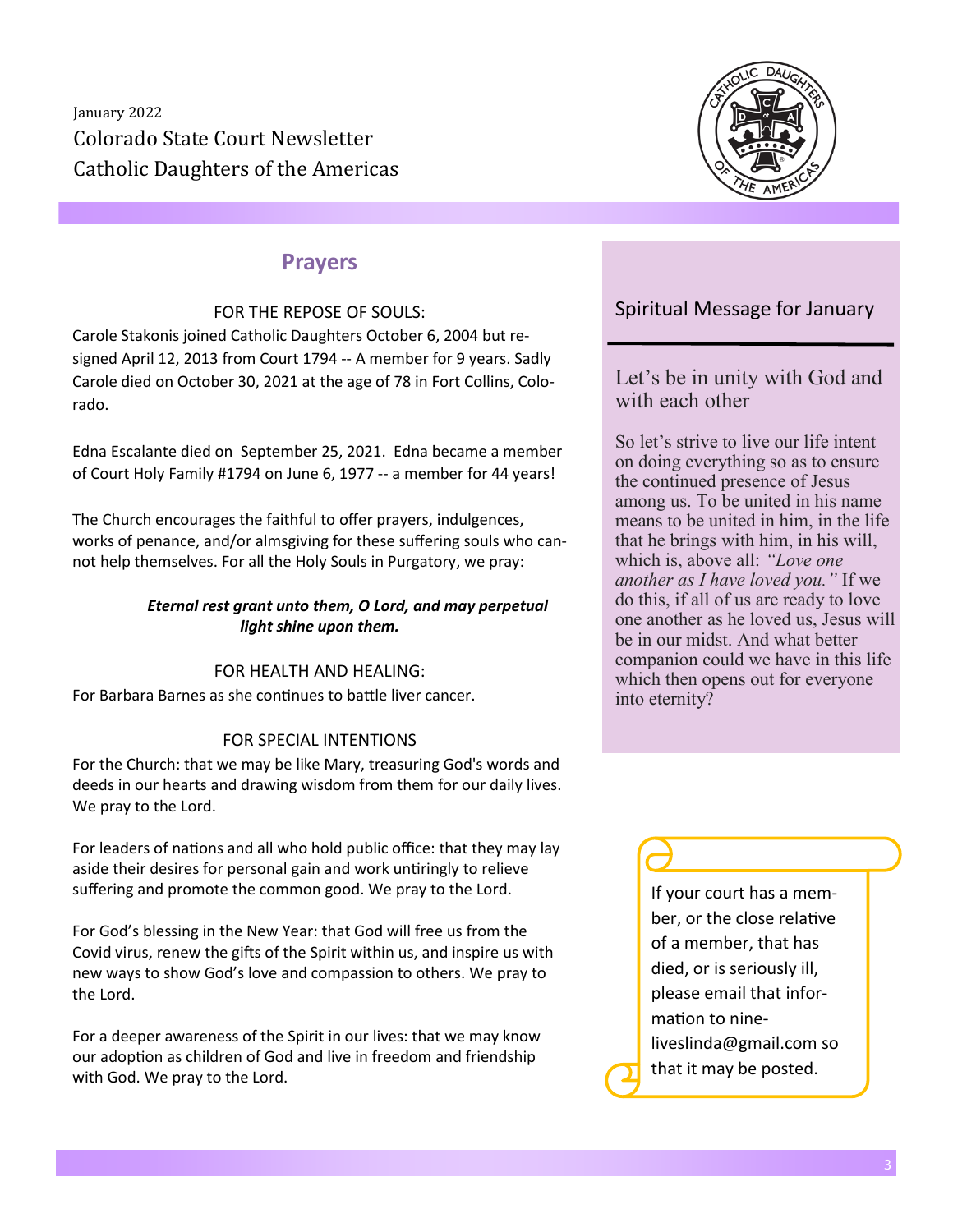

# **Prayers**

#### FOR THE REPOSE OF SOULS:

Carole Stakonis joined Catholic Daughters October 6, 2004 but resigned April 12, 2013 from Court 1794 -- A member for 9 years. Sadly Carole died on October 30, 2021 at the age of 78 in Fort Collins, Colorado.

Edna Escalante died on September 25, 2021. Edna became a member of Court Holy Family #1794 on June 6, 1977 -- a member for 44 years!

The Church encourages the faithful to offer prayers, indulgences, works of penance, and/or almsgiving for these suffering souls who cannot help themselves. For all the Holy Souls in Purgatory, we pray:

#### *Eternal rest grant unto them, O Lord, and may perpetual light shine upon them.*

### FOR HEALTH AND HEALING:

For Barbara Barnes as she continues to battle liver cancer.

### FOR SPECIAL INTENTIONS

For the Church: that we may be like Mary, treasuring God's words and deeds in our hearts and drawing wisdom from them for our daily lives. We pray to the Lord.

For leaders of nations and all who hold public office: that they may lay aside their desires for personal gain and work untiringly to relieve suffering and promote the common good. We pray to the Lord.

For God's blessing in the New Year: that God will free us from the Covid virus, renew the gifts of the Spirit within us, and inspire us with new ways to show God's love and compassion to others. We pray to the Lord.

For a deeper awareness of the Spirit in our lives: that we may know our adoption as children of God and live in freedom and friendship with God. We pray to the Lord.

### Spiritual Message for January

Let's be in unity with God and with each other

So let's strive to live our life intent on doing everything so as to ensure the continued presence of Jesus among us. To be united in his name means to be united in him, in the life that he brings with him, in his will, which is, above all: *"Love one another as I have loved you."* If we do this, if all of us are ready to love one another as he loved us, Jesus will be in our midst. And what better companion could we have in this life which then opens out for everyone into eternity?

> If your court has a member, or the close relative of a member, that has died, or is seriously ill, please email that information to nineliveslinda@gmail.com so that it may be posted.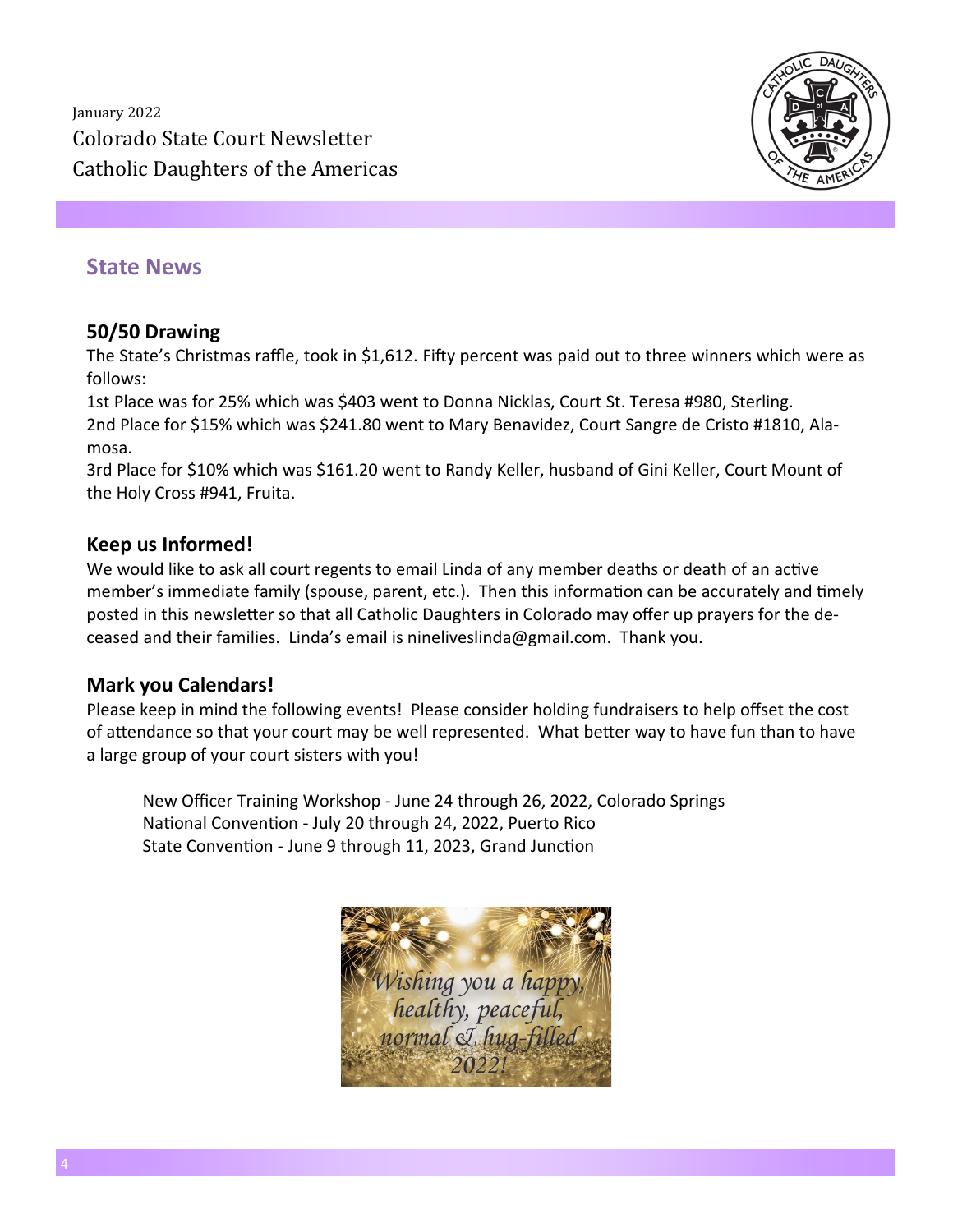

## **State News**

### **50/50 Drawing**

The State's Christmas raffle, took in \$1,612. Fifty percent was paid out to three winners which were as follows:

1st Place was for 25% which was \$403 went to Donna Nicklas, Court St. Teresa #980, Sterling. 2nd Place for \$15% which was \$241.80 went to Mary Benavidez, Court Sangre de Cristo #1810, Alamosa.

3rd Place for \$10% which was \$161.20 went to Randy Keller, husband of Gini Keller, Court Mount of the Holy Cross #941, Fruita.

### **Keep us Informed!**

We would like to ask all court regents to email Linda of any member deaths or death of an active member's immediate family (spouse, parent, etc.). Then this information can be accurately and timely posted in this newsletter so that all Catholic Daughters in Colorado may offer up prayers for the deceased and their families. Linda's email is nineliveslinda@gmail.com. Thank you.

### **Mark you Calendars!**

Please keep in mind the following events! Please consider holding fundraisers to help offset the cost of attendance so that your court may be well represented. What better way to have fun than to have a large group of your court sisters with you!

New Officer Training Workshop - June 24 through 26, 2022, Colorado Springs National Convention - July 20 through 24, 2022, Puerto Rico State Convention - June 9 through 11, 2023, Grand Junction

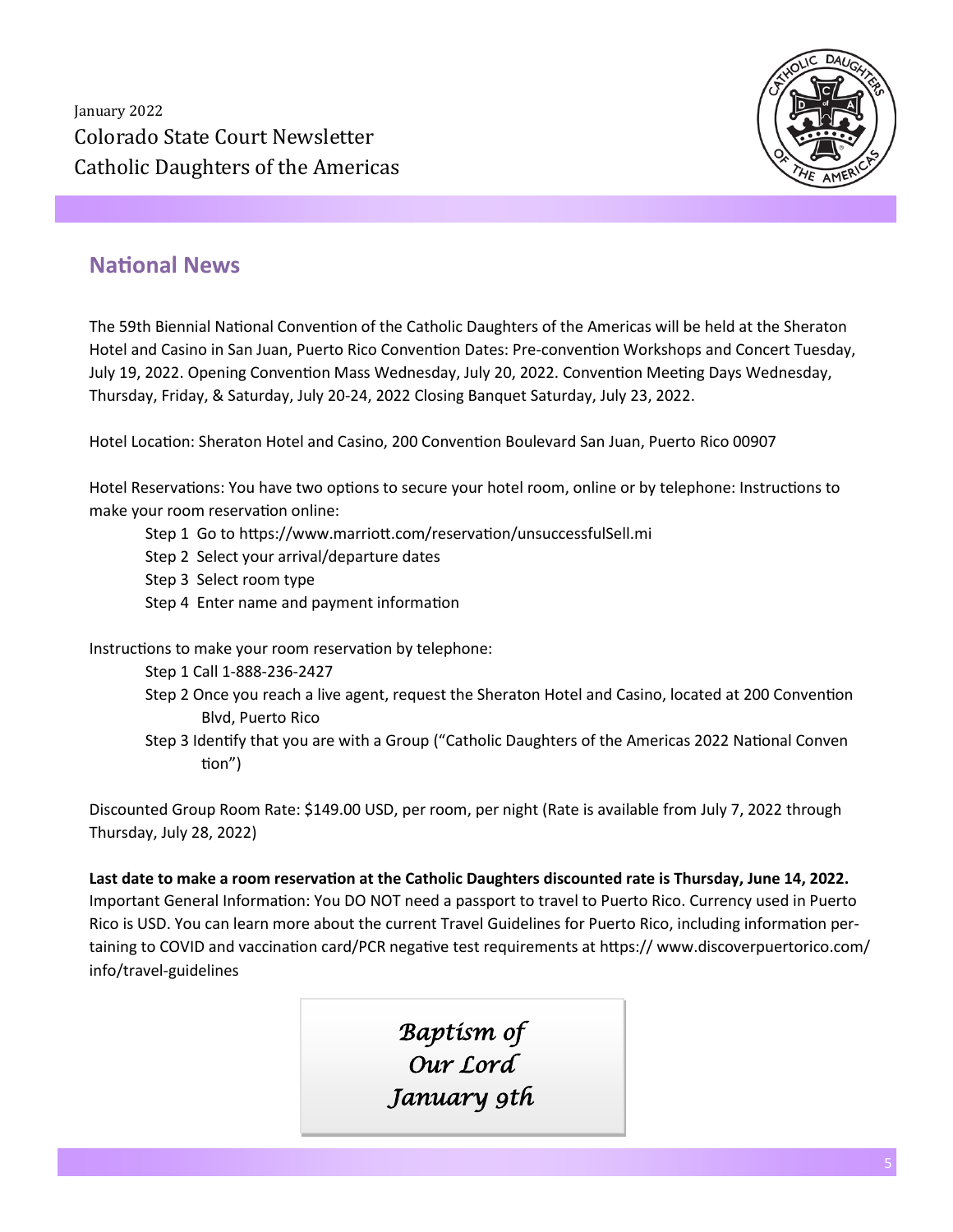

# **National News**

The 59th Biennial National Convention of the Catholic Daughters of the Americas will be held at the Sheraton Hotel and Casino in San Juan, Puerto Rico Convention Dates: Pre-convention Workshops and Concert Tuesday, July 19, 2022. Opening Convention Mass Wednesday, July 20, 2022. Convention Meeting Days Wednesday, Thursday, Friday, & Saturday, July 20-24, 2022 Closing Banquet Saturday, July 23, 2022.

Hotel Location: Sheraton Hotel and Casino, 200 Convention Boulevard San Juan, Puerto Rico 00907

Hotel Reservations: You have two options to secure your hotel room, online or by telephone: Instructions to make your room reservation online:

- Step 1 Go to https://www.marriott.com/reservation/unsuccessfulSell.mi
- Step 2 Select your arrival/departure dates
- Step 3 Select room type
- Step 4 Enter name and payment information

Instructions to make your room reservation by telephone:

- Step 1 Call 1-888-236-2427
- Step 2 Once you reach a live agent, request the Sheraton Hotel and Casino, located at 200 Convention Blvd, Puerto Rico
- Step 3 Identify that you are with a Group ("Catholic Daughters of the Americas 2022 National Conven tion")

Discounted Group Room Rate: \$149.00 USD, per room, per night (Rate is available from July 7, 2022 through Thursday, July 28, 2022)

**Last date to make a room reservation at the Catholic Daughters discounted rate is Thursday, June 14, 2022.**  Important General Information: You DO NOT need a passport to travel to Puerto Rico. Currency used in Puerto Rico is USD. You can learn more about the current Travel Guidelines for Puerto Rico, including information pertaining to COVID and vaccination card/PCR negative test requirements at https:// www.discoverpuertorico.com/ info/travel-guidelines

> *Baptism of Our Lord January 9th*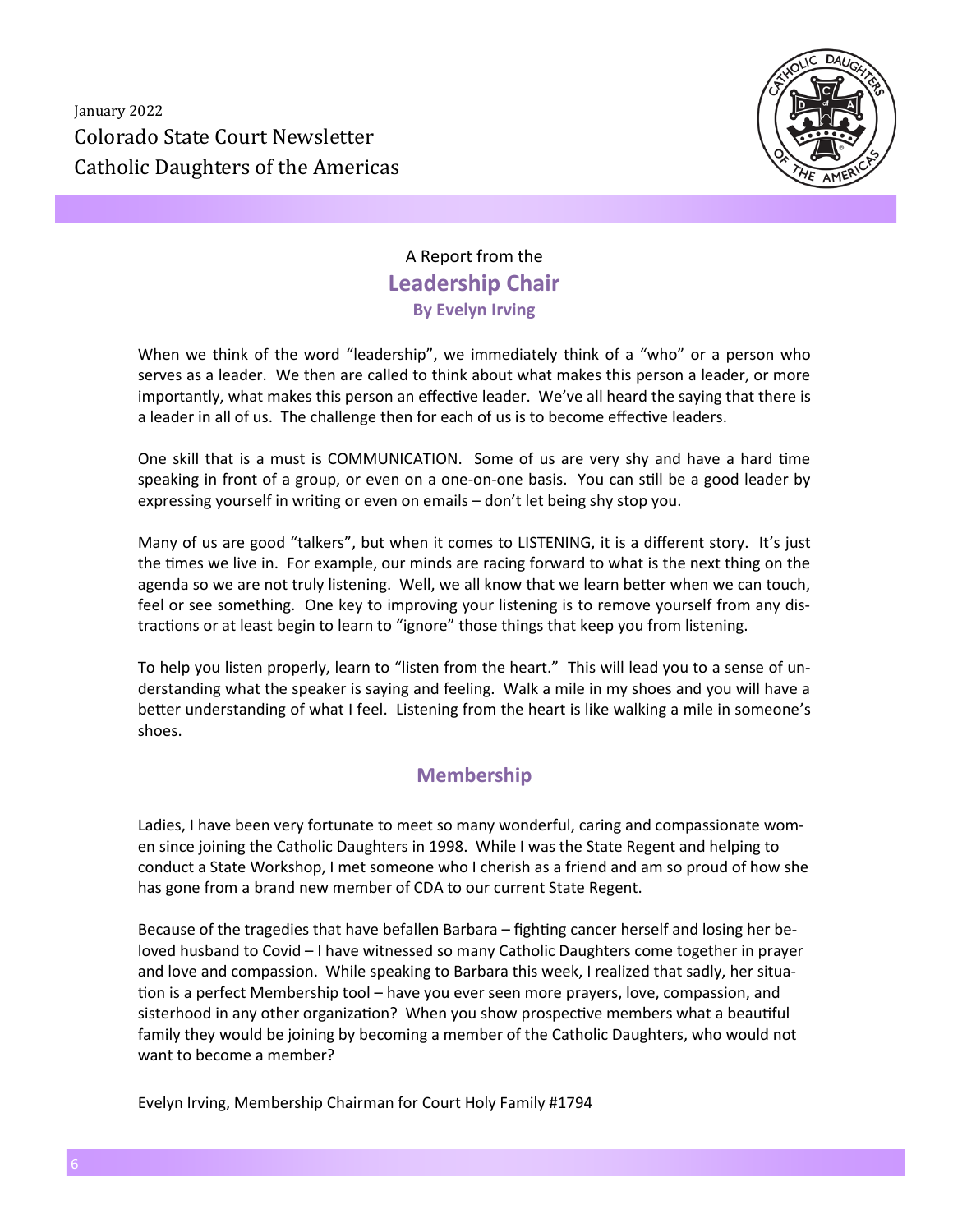

# A Report from the **Leadership Chair By Evelyn Irving**

When we think of the word "leadership", we immediately think of a "who" or a person who serves as a leader. We then are called to think about what makes this person a leader, or more importantly, what makes this person an effective leader. We've all heard the saying that there is a leader in all of us. The challenge then for each of us is to become effective leaders.

One skill that is a must is COMMUNICATION. Some of us are very shy and have a hard time speaking in front of a group, or even on a one-on-one basis. You can still be a good leader by expressing yourself in writing or even on emails – don't let being shy stop you.

Many of us are good "talkers", but when it comes to LISTENING, it is a different story. It's just the times we live in. For example, our minds are racing forward to what is the next thing on the agenda so we are not truly listening. Well, we all know that we learn better when we can touch, feel or see something. One key to improving your listening is to remove yourself from any distractions or at least begin to learn to "ignore" those things that keep you from listening.

To help you listen properly, learn to "listen from the heart." This will lead you to a sense of understanding what the speaker is saying and feeling. Walk a mile in my shoes and you will have a better understanding of what I feel. Listening from the heart is like walking a mile in someone's shoes.

### **Membership**

Ladies, I have been very fortunate to meet so many wonderful, caring and compassionate women since joining the Catholic Daughters in 1998. While I was the State Regent and helping to conduct a State Workshop, I met someone who I cherish as a friend and am so proud of how she has gone from a brand new member of CDA to our current State Regent.

Because of the tragedies that have befallen Barbara – fighting cancer herself and losing her beloved husband to Covid – I have witnessed so many Catholic Daughters come together in prayer and love and compassion. While speaking to Barbara this week, I realized that sadly, her situation is a perfect Membership tool – have you ever seen more prayers, love, compassion, and sisterhood in any other organization? When you show prospective members what a beautiful family they would be joining by becoming a member of the Catholic Daughters, who would not want to become a member?

Evelyn Irving, Membership Chairman for Court Holy Family #1794